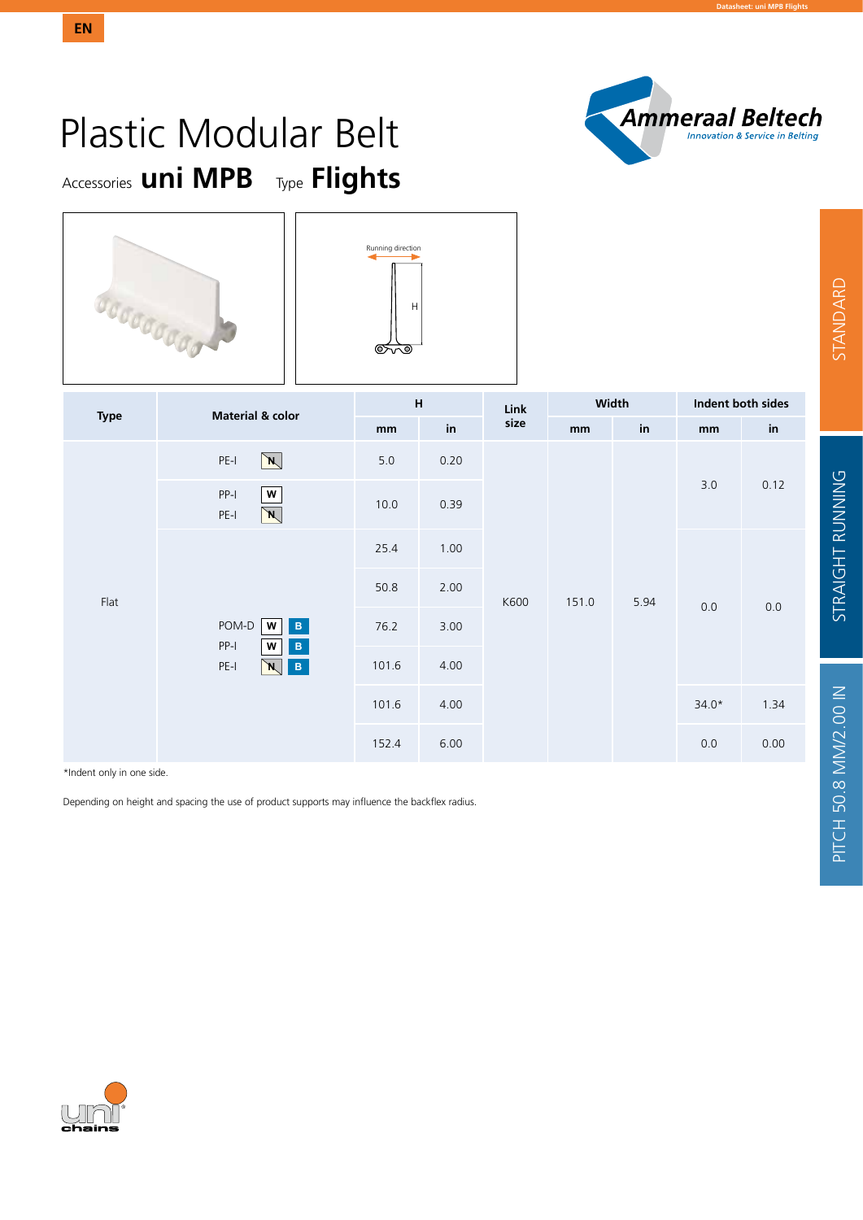

## Accessories **uni MPB** Type **Flights** Plastic Modular Belt



**EN**



| <b>Type</b>                                | <b>Material &amp; color</b>                                                                                      | $\boldsymbol{\mathsf{H}}$ |                      | Link | Width |                      | Indent both sides |                            |
|--------------------------------------------|------------------------------------------------------------------------------------------------------------------|---------------------------|----------------------|------|-------|----------------------|-------------------|----------------------------|
|                                            |                                                                                                                  | mm                        | $\mathop{\text{in}}$ | size | mm    | $\mathop{\text{in}}$ | mm                | $\mathop{\sf in}\nolimits$ |
|                                            | $\lambda$<br>$PE-I$                                                                                              | $5.0$                     | 0.20                 |      |       |                      |                   |                            |
| $PP-I$<br>${\bf W}$<br>$PE-I$<br>$\lambda$ | 10.0                                                                                                             | 0.39                      |                      |      |       | $3.0$                | 0.12              |                            |
|                                            | 25.4                                                                                                             | 1.00                      |                      |      |       |                      |                   |                            |
| Flat                                       |                                                                                                                  | 50.8                      | 2.00                 | K600 | 151.0 | 5.94                 | $0.0\,$           | 0.0                        |
|                                            | POM-D<br>$\, {\bf B} \,$<br>W<br>$PP-I$<br>$\, {\bf B} \,$<br>W<br>$\mathbf{B}_\parallel$<br>$PE-I$<br>$\lambda$ | 76.2                      | 3.00                 |      |       |                      |                   |                            |
|                                            |                                                                                                                  | 101.6                     | 4.00                 |      |       |                      |                   |                            |
|                                            | 101.6                                                                                                            | 4.00                      |                      |      |       | $34.0*$              | 1.34              |                            |
|                                            |                                                                                                                  | 152.4                     | 6.00                 |      |       |                      | $0.0\,$           | 0.00                       |

\*Indent only in one side.

Depending on height and spacing the use of product supports may influence the backflex radius.

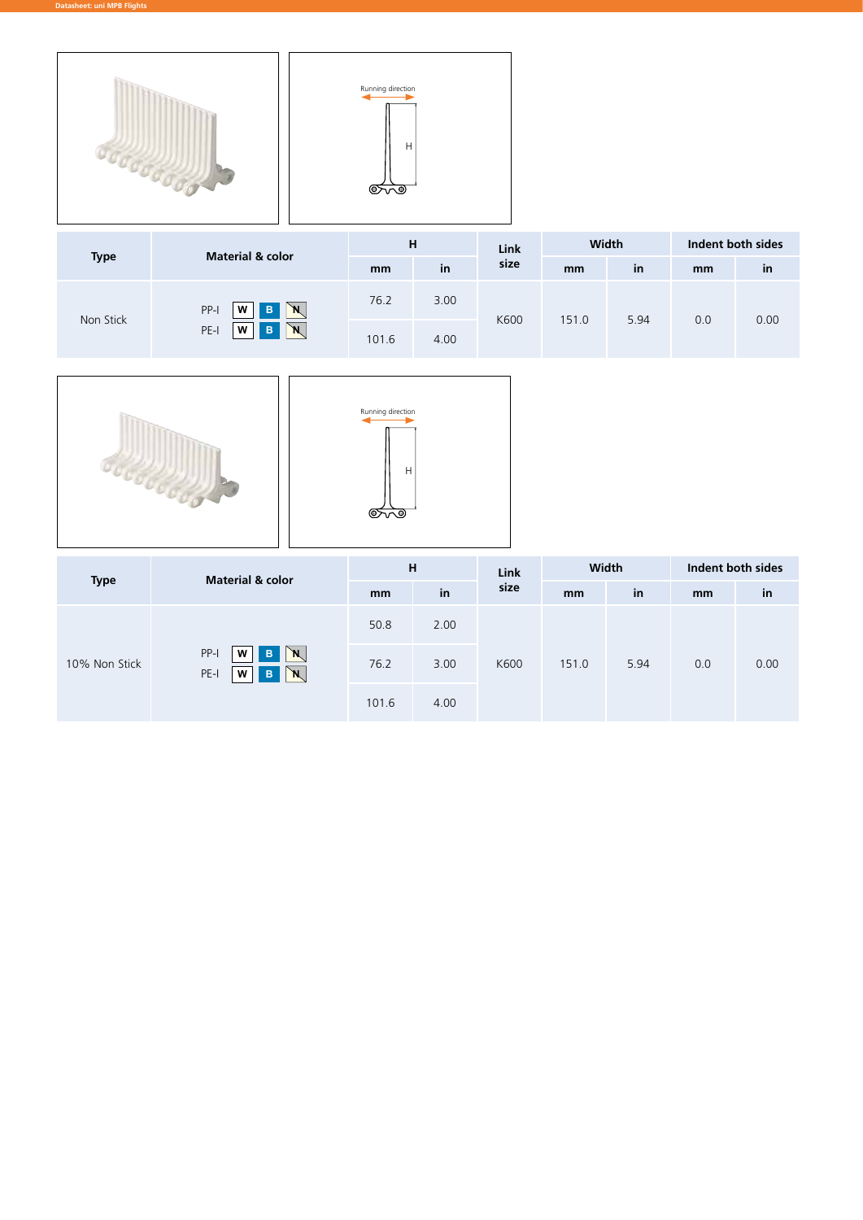



|             | <b>Material &amp; color</b>    |       | н    |      | Width |      | Indent both sides |      |
|-------------|--------------------------------|-------|------|------|-------|------|-------------------|------|
| <b>Type</b> |                                | mm    | in   | size | mm    | in   | mm                | in   |
| Non Stick   | $\mathbb{N}$<br>PP-I<br>B<br>W | 76.2  | 3.00 | K600 | 151.0 | 5.94 |                   | 0.00 |
|             | <b>N</b><br>PE-I<br>B<br>W     | 101.6 | 4.00 |      |       |      | 0.0               |      |





| <b>Type</b>                                                    | <b>Material &amp; color</b> | н    |      | Link  | Width |     | Indent both sides |    |
|----------------------------------------------------------------|-----------------------------|------|------|-------|-------|-----|-------------------|----|
|                                                                |                             | mm   | in   | size  | mm    | in  | mm                | in |
|                                                                |                             | 50.8 | 2.00 |       |       |     |                   |    |
| PP-I<br>W<br>B<br>`N,<br>10% Non Stick<br>`N<br>PE-I<br>W<br>B | 76.2                        | 3.00 | K600 | 151.0 | 5.94  | 0.0 | 0.00              |    |
|                                                                | 101.6                       | 4.00 |      |       |       |     |                   |    |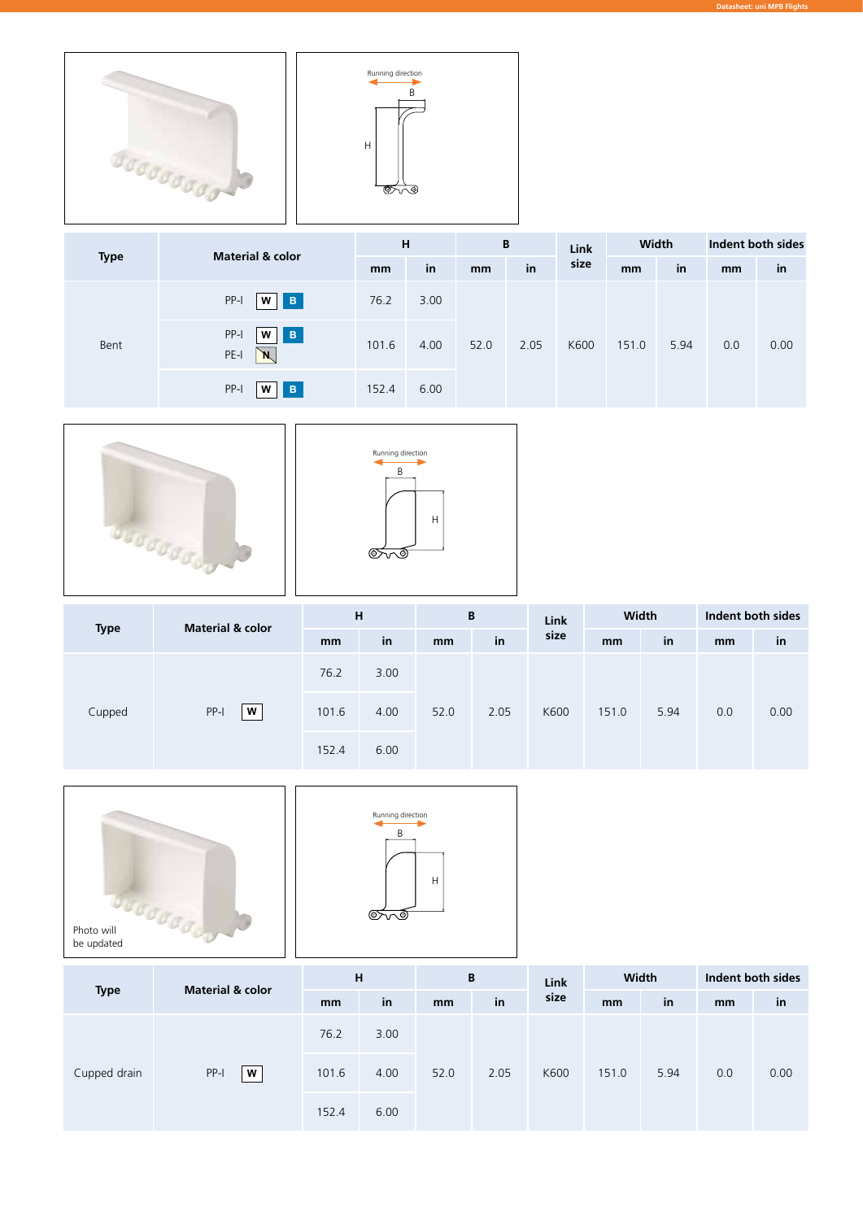



|      | <b>Material &amp; color</b><br><b>Type</b>        | H             |      | B    |      | Link  | Width |     | Indent both sides |    |
|------|---------------------------------------------------|---------------|------|------|------|-------|-------|-----|-------------------|----|
|      |                                                   | mm            | in   | mm   | in   | size  | mm    | in  | mm                | in |
|      | PP-I<br>$\blacksquare$<br>W                       | 76.2          | 3.00 |      |      |       |       |     |                   |    |
| Bent | PP-I<br>$\, {\bf B}$<br>w<br>PE-I<br>$\mathbb{N}$ | 101.6<br>4.00 | 52.0 | 2.05 | K600 | 151.0 | 5.94  | 0.0 | 0.00              |    |
|      | PP-I<br>B<br>W                                    | 152.4         | 6.00 |      |      |       |       |     |                   |    |





| <b>Material &amp; color</b><br><b>Type</b> |                       | н     |      | B    |      | <b>Link</b> | Width |      | Indent both sides |      |
|--------------------------------------------|-----------------------|-------|------|------|------|-------------|-------|------|-------------------|------|
|                                            | mm                    | in    | mm   | in   | size | mm          | in    | mm   | in                |      |
|                                            | Cupped<br>$PP-I$<br>W | 76.2  | 3.00 |      |      |             | 151.0 | 5.94 | 0.0               | 0.00 |
|                                            |                       | 101.6 | 4.00 | 52.0 | 2.05 | K600        |       |      |                   |      |
|                                            |                       | 152.4 | 6.00 |      |      |             |       |      |                   |      |





| <b>Type</b>  | <b>Material &amp; color</b> | H     |      | B             |      | Link | Width |      | Indent both sides |      |
|--------------|-----------------------------|-------|------|---------------|------|------|-------|------|-------------------|------|
|              |                             | mm    | in   | <sub>mm</sub> | in   | size | mm    | in   | mm                | in   |
|              | PP-I<br>W                   | 76.2  | 3.00 | 52.0          | 2.05 | K600 | 151.0 | 5.94 | 0.0               | 0.00 |
| Cupped drain |                             | 101.6 | 4.00 |               |      |      |       |      |                   |      |
|              | 152.4                       | 6.00  |      |               |      |      |       |      |                   |      |